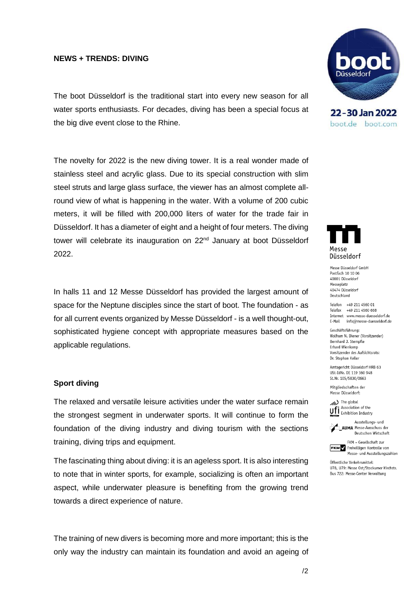## **NEWS + TRENDS: DIVING**

The boot Düsseldorf is the traditional start into every new season for all water sports enthusiasts. For decades, diving has been a special focus at the big dive event close to the Rhine.

The novelty for 2022 is the new diving tower. It is a real wonder made of stainless steel and acrylic glass. Due to its special construction with slim steel struts and large glass surface, the viewer has an almost complete allround view of what is happening in the water. With a volume of 200 cubic meters, it will be filled with 200,000 liters of water for the trade fair in Düsseldorf. It has a diameter of eight and a height of four meters. The diving tower will celebrate its inauguration on 22<sup>nd</sup> January at boot Düsseldorf 2022.

In halls 11 and 12 Messe Düsseldorf has provided the largest amount of space for the Neptune disciples since the start of boot. The foundation - as for all current events organized by Messe Düsseldorf - is a well thought-out, sophisticated hygiene concept with appropriate measures based on the applicable regulations.

### **Sport diving**

The relaxed and versatile leisure activities under the water surface remain the strongest segment in underwater sports. It will continue to form the foundation of the diving industry and diving tourism with the sections training, diving trips and equipment.

The fascinating thing about diving: it is an ageless sport. It is also interesting to note that in winter sports, for example, socializing is often an important aspect, while underwater pleasure is benefiting from the growing trend towards a direct experience of nature.

The training of new divers is becoming more and more important; this is the only way the industry can maintain its foundation and avoid an ageing of



22-30 Jan 2022 boot.de boot.com



Messe Düsseldorf GmbH Postfach 10 10 06 40001 Düsseldorf Messeplatz 40474 Düsseldorl Deutschland

Telefon +49 211 4560 01 Telefax +49 211 4560 668 Internet www.messe-duesseldorf.de E-Mail info@messe-duesseldorf.de

Geschäftsführung: Wolfram N. Diener (Vorsitzender) Bernhard J. Stempfle Erhard Wienkamp Vorsitzender des Aufsichtsrats: Dr. Stephan Keller

Amtsgericht Düsseldorf HRB 63 USt-IdNr. DE 119 360 948 St.Nr. 105/5830/0663

Mitgliedschaften der Messe Düsseldorf:



Ufi Association of the<br>
Momber Exhibition Industry



FKM - Gesellschaft zur **FKM**<br>Freiwilligen Kontrolle von<br>Messe- und Ausstellungszahlen

Öffentliche Verkehrsmittel: U78, U79: Messe Ost/Stockumer Kirchstr. Bus 722: Messe-Center Verwaltung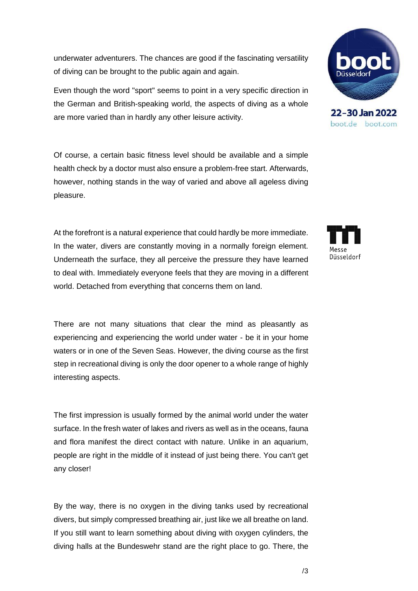underwater adventurers. The chances are good if the fascinating versatility of diving can be brought to the public again and again.

Even though the word "sport" seems to point in a very specific direction in the German and British-speaking world, the aspects of diving as a whole are more varied than in hardly any other leisure activity.

Of course, a certain basic fitness level should be available and a simple health check by a doctor must also ensure a problem-free start. Afterwards, however, nothing stands in the way of varied and above all ageless diving pleasure.

At the forefront is a natural experience that could hardly be more immediate. In the water, divers are constantly moving in a normally foreign element. Underneath the surface, they all perceive the pressure they have learned to deal with. Immediately everyone feels that they are moving in a different world. Detached from everything that concerns them on land.

There are not many situations that clear the mind as pleasantly as experiencing and experiencing the world under water - be it in your home waters or in one of the Seven Seas. However, the diving course as the first step in recreational diving is only the door opener to a whole range of highly interesting aspects.

The first impression is usually formed by the animal world under the water surface. In the fresh water of lakes and rivers as well as in the oceans, fauna and flora manifest the direct contact with nature. Unlike in an aquarium, people are right in the middle of it instead of just being there. You can't get any closer!

By the way, there is no oxygen in the diving tanks used by recreational divers, but simply compressed breathing air, just like we all breathe on land. If you still want to learn something about diving with oxygen cylinders, the diving halls at the Bundeswehr stand are the right place to go. There, the



boot.de boot.com

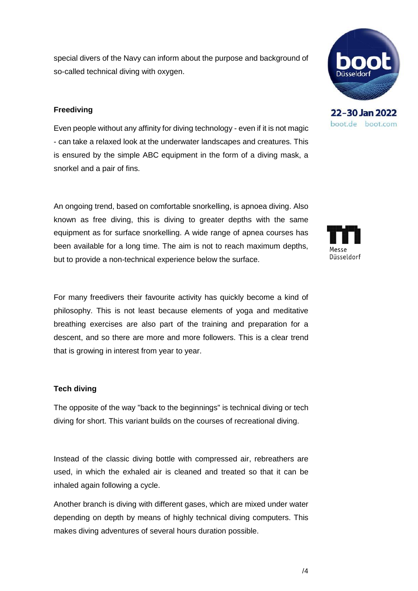special divers of the Navy can inform about the purpose and background of so-called technical diving with oxygen.

## **Freediving**

Even people without any affinity for diving technology - even if it is not magic - can take a relaxed look at the underwater landscapes and creatures. This is ensured by the simple ABC equipment in the form of a diving mask, a snorkel and a pair of fins.

An ongoing trend, based on comfortable snorkelling, is apnoea diving. Also known as free diving, this is diving to greater depths with the same equipment as for surface snorkelling. A wide range of apnea courses has been available for a long time. The aim is not to reach maximum depths, but to provide a non-technical experience below the surface.

For many freedivers their favourite activity has quickly become a kind of philosophy. This is not least because elements of yoga and meditative breathing exercises are also part of the training and preparation for a descent, and so there are more and more followers. This is a clear trend that is growing in interest from year to year.

## **Tech diving**

The opposite of the way "back to the beginnings" is technical diving or tech diving for short. This variant builds on the courses of recreational diving.

Instead of the classic diving bottle with compressed air, rebreathers are used, in which the exhaled air is cleaned and treated so that it can be inhaled again following a cycle.

Another branch is diving with different gases, which are mixed under water depending on depth by means of highly technical diving computers. This makes diving adventures of several hours duration possible.



boot.de boot.com

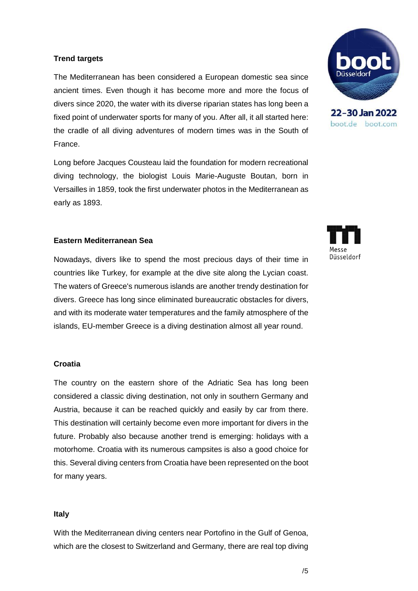## **Trend targets**

The Mediterranean has been considered a European domestic sea since ancient times. Even though it has become more and more the focus of divers since 2020, the water with its diverse riparian states has long been a fixed point of underwater sports for many of you. After all, it all started here: the cradle of all diving adventures of modern times was in the South of France.

Long before Jacques Cousteau laid the foundation for modern recreational diving technology, the biologist Louis Marie-Auguste Boutan, born in Versailles in 1859, took the first underwater photos in the Mediterranean as early as 1893.

## **Eastern Mediterranean Sea**

Nowadays, divers like to spend the most precious days of their time in countries like Turkey, for example at the dive site along the Lycian coast. The waters of Greece's numerous islands are another trendy destination for divers. Greece has long since eliminated bureaucratic obstacles for divers, and with its moderate water temperatures and the family atmosphere of the islands, EU-member Greece is a diving destination almost all year round.

## **Croatia**

The country on the eastern shore of the Adriatic Sea has long been considered a classic diving destination, not only in southern Germany and Austria, because it can be reached quickly and easily by car from there. This destination will certainly become even more important for divers in the future. Probably also because another trend is emerging: holidays with a motorhome. Croatia with its numerous campsites is also a good choice for this. Several diving centers from Croatia have been represented on the boot for many years.

#### **Italy**

With the Mediterranean diving centers near Portofino in the Gulf of Genoa, which are the closest to Switzerland and Germany, there are real top diving



22-30 Jan 2022 boot.de boot.com

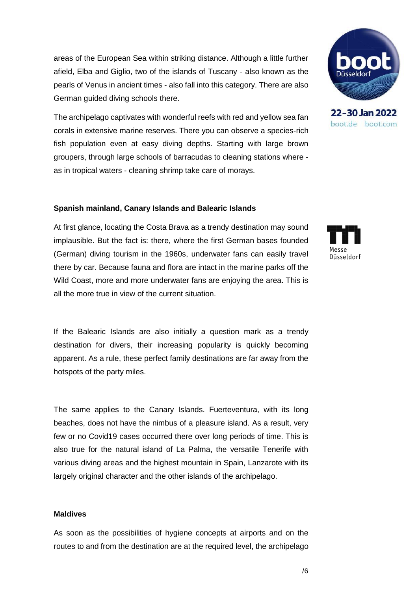areas of the European Sea within striking distance. Although a little further afield, Elba and Giglio, two of the islands of Tuscany - also known as the pearls of Venus in ancient times - also fall into this category. There are also German guided diving schools there.

The archipelago captivates with wonderful reefs with red and yellow sea fan corals in extensive marine reserves. There you can observe a species-rich fish population even at easy diving depths. Starting with large brown groupers, through large schools of barracudas to cleaning stations where as in tropical waters - cleaning shrimp take care of morays.

#### **Spanish mainland, Canary Islands and Balearic Islands**

At first glance, locating the Costa Brava as a trendy destination may sound implausible. But the fact is: there, where the first German bases founded (German) diving tourism in the 1960s, underwater fans can easily travel there by car. Because fauna and flora are intact in the marine parks off the Wild Coast, more and more underwater fans are enjoying the area. This is all the more true in view of the current situation.

If the Balearic Islands are also initially a question mark as a trendy destination for divers, their increasing popularity is quickly becoming apparent. As a rule, these perfect family destinations are far away from the hotspots of the party miles.

The same applies to the Canary Islands. Fuerteventura, with its long beaches, does not have the nimbus of a pleasure island. As a result, very few or no Covid19 cases occurred there over long periods of time. This is also true for the natural island of La Palma, the versatile Tenerife with various diving areas and the highest mountain in Spain, Lanzarote with its largely original character and the other islands of the archipelago.

#### **Maldives**

As soon as the possibilities of hygiene concepts at airports and on the routes to and from the destination are at the required level, the archipelago



22-30 Jan 2022 boot.de boot.com